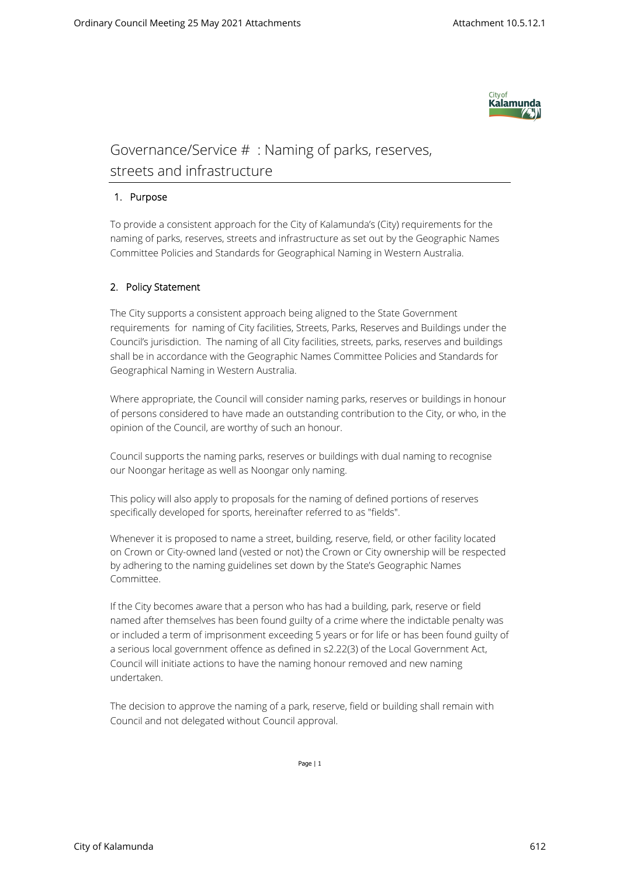

## Governance/Service # :Naming of parks, reserves, streets and infrastructure

## **1. Purpose**

To provide a consistent approach for the City of Kalamunda's (City) requirements for the naming of parks, reserves, streets and infrastructure as set out by the Geographic Names Committee Policies and Standards for Geographical Naming in Western Australia.

## **2. Policy Statement**

The City supports a consistent approach being aligned to the State Government requirements for naming of City facilities, Streets, Parks, Reserves and Buildings under the Council's jurisdiction. The naming of all City facilities, streets, parks, reserves and buildings shall be in accordance with the Geographic Names Committee Policies and Standards for Geographical Naming in Western Australia.

Where appropriate, the Council will consider naming parks, reserves or buildings in honour of persons considered to have made an outstanding contribution to the City, or who, in the opinion of the Council, are worthy of such an honour.

Council supports the naming parks, reserves or buildings with dual naming to recognise our Noongar heritage as well as Noongar only naming.

This policy will also apply to proposals for the naming of defined portions of reserves specifically developed for sports, hereinafter referred to as "fields".

Whenever it is proposed to name a street, building, reserve, field, or other facility located on Crown or City-owned land (vested or not) the Crown or City ownership will be respected by adhering to the naming guidelines set down by the State's Geographic Names Committee.

If the City becomes aware that a person who has had a building, park, reserve or field named after themselves has been found guilty of a crime where the indictable penalty was or included a term of imprisonment exceeding 5 years or for life or has been found guilty of a serious local government offence as defined in s2.22(3) of the Local Government Act, Council will initiate actions to have the naming honour removed and new naming undertaken.

The decision to approve the naming of a park, reserve, field or building shall remain with Council and not delegated without Council approval.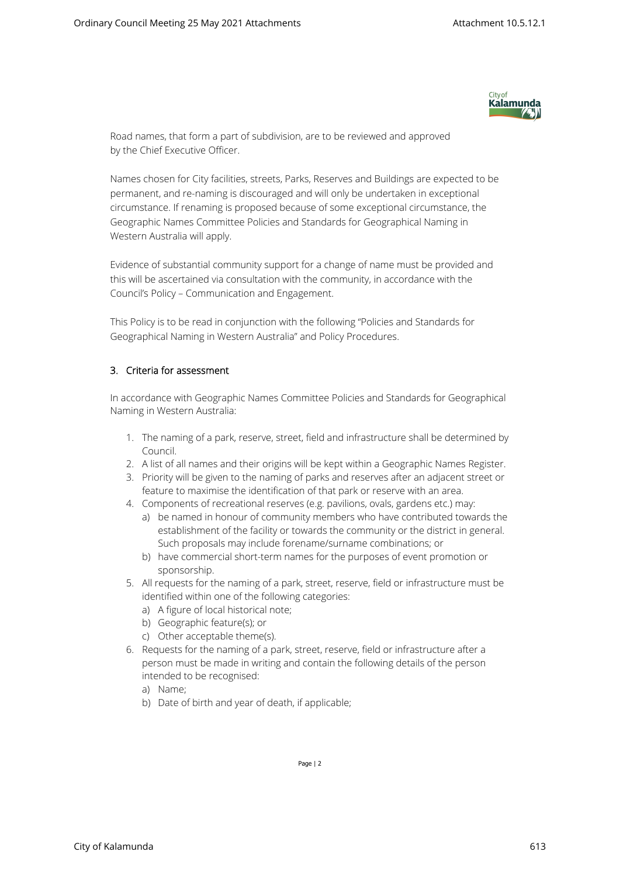

Road names, that form a part of subdivision, are to be reviewed and approved by the Chief Executive Officer.

Names chosen for City facilities, streets, Parks, Reserves and Buildings are expected to be permanent, and re-naming is discouraged and will only be undertaken in exceptional circumstance. If renaming is proposed because of some exceptional circumstance, the Geographic Names Committee Policies and Standards for Geographical Naming in Western Australia will apply.

Evidence of substantial community support for a change of name must be provided and this will be ascertained via consultation with the community, in accordance with the Council's Policy – Communication and Engagement.

This Policy is to be read in conjunction with the following "Policies and Standards for Geographical Naming in Western Australia" and Policy Procedures.

## **3. Criteria for assessment**

In accordance with Geographic Names Committee Policies and Standards for Geographical Naming in Western Australia:

- 1. The naming of a park, reserve, street, field and infrastructure shall be determined by Council.
- 2. A list of all names and their origins will be kept within a Geographic Names Register.
- 3. Priority will be given to the naming of parks and reserves after an adjacent street or feature to maximise the identification of that park or reserve with an area.
- 4. Components of recreational reserves (e.g. pavilions, ovals, gardens etc.) may:
	- a) be named in honour of community members who have contributed towards the establishment of the facility or towards the community or the district in general. Such proposals may include forename/surname combinations; or
	- b) have commercial short-term names for the purposes of event promotion or sponsorship.
- 5. All requests for the naming of a park, street, reserve, field or infrastructure must be identified within one of the following categories:
	- a) A figure of local historical note;
	- b) Geographic feature(s); or
	- c) Other acceptable theme(s).
- 6. Requests for the naming of a park, street, reserve, field or infrastructure after a person must be made in writing and contain the following details of the person intended to be recognised:
	- a) Name;
	- b) Date of birth and year of death, if applicable;

Page | 2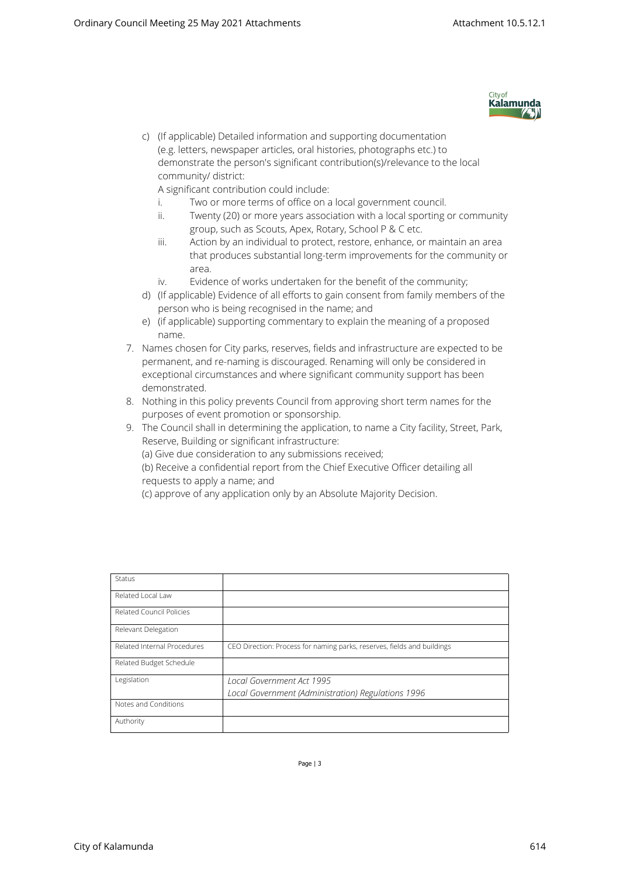

c) (If applicable) Detailed information and supporting documentation (e.g. letters, newspaper articles, oral histories, photographs etc.) to demonstrate the person's significant contribution(s)/relevance to the local community/ district:

A significant contribution could include:

- i. Two or more terms of office on a local government council.
- ii. Twenty (20) or more years association with a local sporting or community group, such as Scouts, Apex, Rotary, School P & C etc.
- iii. Action by an individual to protect, restore, enhance, or maintain an area that produces substantial long-term improvements for the community or area.
- iv. Evidence of works undertaken for the benefit of the community;
- d) (If applicable) Evidence of all efforts to gain consent from family members of the person who is being recognised in the name; and
- e) (if applicable) supporting commentary to explain the meaning of a proposed name.
- 7. Names chosen for City parks, reserves, fields and infrastructure are expected to be permanent, and re-naming is discouraged. Renaming will only be considered in exceptional circumstances and where significant community support has been demonstrated.
- 8. Nothing in this policy prevents Council from approving short term names for the purposes of event promotion or sponsorship.
- 9. The Council shall in determining the application, to name a City facility, Street, Park, Reserve, Building or significant infrastructure:
	- (a) Give due consideration to any submissions received;
	- (b) Receive a confidential report from the Chief Executive Officer detailing all requests to apply a name; and
	- (c) approve of any application only by an Absolute Majority Decision.

| Status                      |                                                                         |
|-----------------------------|-------------------------------------------------------------------------|
| Related Local Law           |                                                                         |
| Related Council Policies    |                                                                         |
| Relevant Delegation         |                                                                         |
| Related Internal Procedures | CEO Direction: Process for naming parks, reserves, fields and buildings |
| Related Budget Schedule     |                                                                         |
| Legislation                 | Local Government Act 1995                                               |
|                             | Local Government (Administration) Regulations 1996                      |
| Notes and Conditions        |                                                                         |
| Authority                   |                                                                         |